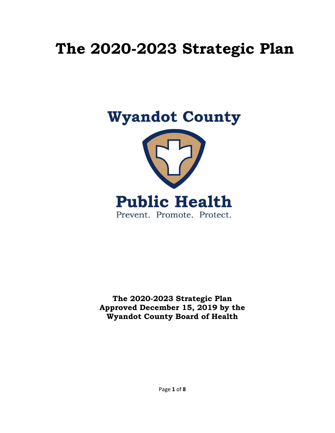# **The 2020-2023 Strategic Plan**



**The 2020-2023 Strategic Plan Approved December 15, 2019 by the Wyandot County Board of Health**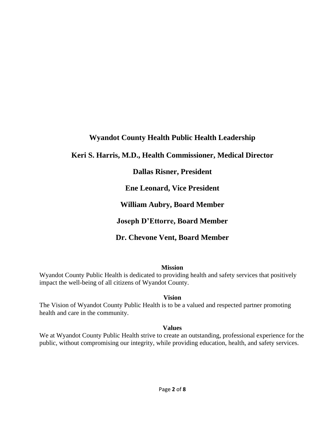## **Wyandot County Health Public Health Leadership**

## **Keri S. Harris, M.D., Health Commissioner, Medical Director**

## **Dallas Risner, President**

**Ene Leonard, Vice President**

**William Aubry, Board Member**

**Joseph D'Ettorre, Board Member**

**Dr. Chevone Vent, Board Member**

#### **Mission**

Wyandot County Public Health is dedicated to providing health and safety services that positively impact the well-being of all citizens of Wyandot County.

**Vision**

The Vision of Wyandot County Public Health is to be a valued and respected partner promoting health and care in the community.

#### **Values**

We at Wyandot County Public Health strive to create an outstanding, professional experience for the public, without compromising our integrity, while providing education, health, and safety services.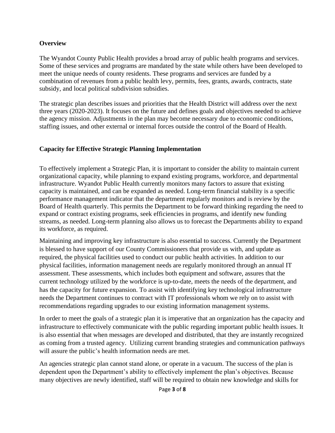#### **Overview**

The Wyandot County Public Health provides a broad array of public health programs and services. Some of these services and programs are mandated by the state while others have been developed to meet the unique needs of county residents. These programs and services are funded by a combination of revenues from a public health levy, permits, fees, grants, awards, contracts, state subsidy, and local political subdivision subsidies.

The strategic plan describes issues and priorities that the Health District will address over the next three years (2020-2023). It focuses on the future and defines goals and objectives needed to achieve the agency mission. Adjustments in the plan may become necessary due to economic conditions, staffing issues, and other external or internal forces outside the control of the Board of Health.

## **Capacity for Effective Strategic Planning Implementation**

To effectively implement a Strategic Plan, it is important to consider the ability to maintain current organizational capacity, while planning to expand existing programs, workforce, and departmental infrastructure. Wyandot Public Health currently monitors many factors to assure that existing capacity is maintained, and can be expanded as needed. Long-term financial stability is a specific performance management indicator that the department regularly monitors and is review by the Board of Health quarterly. This permits the Department to be forward thinking regarding the need to expand or contract existing programs, seek efficiencies in programs, and identify new funding streams, as needed. Long-term planning also allows us to forecast the Departments ability to expand its workforce, as required.

Maintaining and improving key infrastructure is also essential to success. Currently the Department is blessed to have support of our County Commissioners that provide us with, and update as required, the physical facilities used to conduct our public health activities. In addition to our physical facilities, information management needs are regularly monitored through an annual IT assessment. These assessments, which includes both equipment and software, assures that the current technology utilized by the workforce is up-to-date, meets the needs of the department, and has the capacity for future expansion. To assist with identifying key technological infrastructure needs the Department continues to contract with IT professionals whom we rely on to assist with recommendations regarding upgrades to our existing information management systems.

In order to meet the goals of a strategic plan it is imperative that an organization has the capacity and infrastructure to effectively communicate with the public regarding important public health issues. It is also essential that when messages are developed and distributed, that they are instantly recognized as coming from a trusted agency. Utilizing current branding strategies and communication pathways will assure the public's health information needs are met.

An agencies strategic plan cannot stand alone, or operate in a vacuum. The success of the plan is dependent upon the Department's ability to effectively implement the plan's objectives. Because many objectives are newly identified, staff will be required to obtain new knowledge and skills for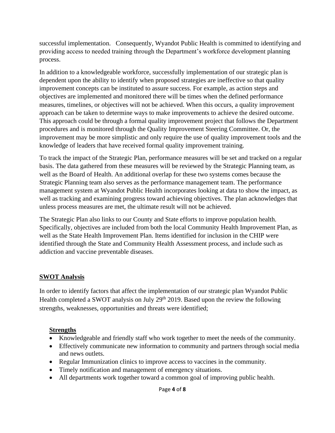successful implementation. Consequently, Wyandot Public Health is committed to identifying and providing access to needed training through the Department's workforce development planning process.

In addition to a knowledgeable workforce, successfully implementation of our strategic plan is dependent upon the ability to identify when proposed strategies are ineffective so that quality improvement concepts can be instituted to assure success. For example, as action steps and objectives are implemented and monitored there will be times when the defined performance measures, timelines, or objectives will not be achieved. When this occurs, a quality improvement approach can be taken to determine ways to make improvements to achieve the desired outcome. This approach could be through a formal quality improvement project that follows the Department procedures and is monitored through the Quality Improvement Steering Committee. Or, the improvement may be more simplistic and only require the use of quality improvement tools and the knowledge of leaders that have received formal quality improvement training.

To track the impact of the Strategic Plan, performance measures will be set and tracked on a regular basis. The data gathered from these measures will be reviewed by the Strategic Planning team, as well as the Board of Health. An additional overlap for these two systems comes because the Strategic Planning team also serves as the performance management team. The performance management system at Wyandot Public Health incorporates looking at data to show the impact, as well as tracking and examining progress toward achieving objectives. The plan acknowledges that unless process measures are met, the ultimate result will not be achieved.

The Strategic Plan also links to our County and State efforts to improve population health. Specifically, objectives are included from both the local Community Health Improvement Plan, as well as the State Health Improvement Plan. Items identified for inclusion in the CHIP were identified through the State and Community Health Assessment process, and include such as addiction and vaccine preventable diseases.

## **SWOT Analysis**

In order to identify factors that affect the implementation of our strategic plan Wyandot Public Health completed a SWOT analysis on July  $29<sup>th</sup> 2019$ . Based upon the review the following strengths, weaknesses, opportunities and threats were identified;

## **Strengths**

- Knowledgeable and friendly staff who work together to meet the needs of the community.
- Effectively communicate new information to community and partners through social media and news outlets.
- Regular Immunization clinics to improve access to vaccines in the community.
- Timely notification and management of emergency situations.
- All departments work together toward a common goal of improving public health.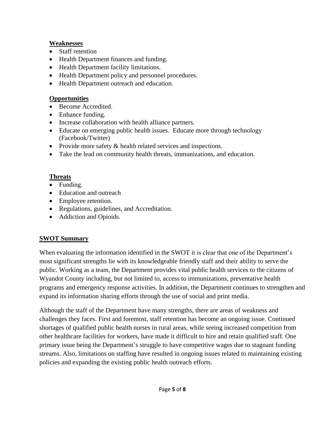## **Weaknesses**

- Staff retention
- Health Department finances and funding.
- Health Department facility limitations.
- Health Department policy and personnel procedures.
- Health Department outreach and education.

## **Opportunities**

- Become Accredited.
- Enhance funding.
- Increase collaboration with health alliance partners.
- Educate on emerging public health issues. Educate more through technology (Facebook/Twitter)
- Provide more safety & health related services and inspections.
- Take the lead on community health threats, immunizations, and education.

## **Threats**

- Funding.
- Education and outreach
- Employee retention.
- Regulations, guidelines, and Accreditation.
- Addiction and Opioids.

## **SWOT Summary**

When evaluating the information identified in the SWOT it is clear that one of the Department's most significant strengths lie with its knowledgeable friendly staff and their ability to serve the public. Working as a team, the Department provides vital public health services to the citizens of Wyandot County including, but not limited to, access to immunizations, preventative health programs and emergency response activities. In addition, the Department continues to strengthen and expand its information sharing efforts through the use of social and print media.

Although the staff of the Department have many strengths, there are areas of weakness and challenges they faces. First and foremost, staff retention has become an ongoing issue. Continued shortages of qualified public health nurses in rural areas, while seeing increased competition from other healthcare facilities for workers, have made it difficult to hire and retain qualified staff. One primary issue being the Department's struggle to have competitive wages due to stagnant funding streams. Also, limitations on staffing have resulted in ongoing issues related to maintaining existing policies and expanding the existing public health outreach efforts.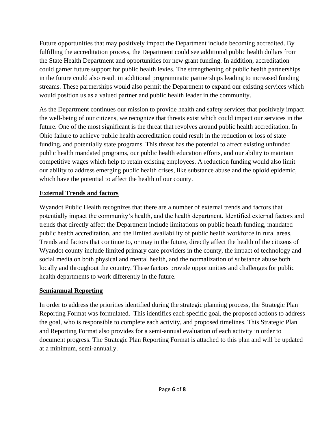Future opportunities that may positively impact the Department include becoming accredited. By fulfilling the accreditation process, the Department could see additional public health dollars from the State Health Department and opportunities for new grant funding. In addition, accreditation could garner future support for public health levies. The strengthening of public health partnerships in the future could also result in additional programmatic partnerships leading to increased funding streams. These partnerships would also permit the Department to expand our existing services which would position us as a valued partner and public health leader in the community.

As the Department continues our mission to provide health and safety services that positively impact the well-being of our citizens, we recognize that threats exist which could impact our services in the future. One of the most significant is the threat that revolves around public health accreditation. In Ohio failure to achieve public health accreditation could result in the reduction or loss of state funding, and potentially state programs. This threat has the potential to affect existing unfunded public health mandated programs, our public health education efforts, and our ability to maintain competitive wages which help to retain existing employees. A reduction funding would also limit our ability to address emerging public health crises, like substance abuse and the opioid epidemic, which have the potential to affect the health of our county.

## **External Trends and factors**

Wyandot Public Health recognizes that there are a number of external trends and factors that potentially impact the community's health, and the health department. Identified external factors and trends that directly affect the Department include limitations on public health funding, mandated public health accreditation, and the limited availability of public health workforce in rural areas. Trends and factors that continue to, or may in the future, directly affect the health of the citizens of Wyandot county include limited primary care providers in the county, the impact of technology and social media on both physical and mental health, and the normalization of substance abuse both locally and throughout the country. These factors provide opportunities and challenges for public health departments to work differently in the future.

## **Semiannual Reporting**

In order to address the priorities identified during the strategic planning process, the Strategic Plan Reporting Format was formulated. This identifies each specific goal, the proposed actions to address the goal, who is responsible to complete each activity, and proposed timelines. This Strategic Plan and Reporting Format also provides for a semi-annual evaluation of each activity in order to document progress. The Strategic Plan Reporting Format is attached to this plan and will be updated at a minimum, semi-annually.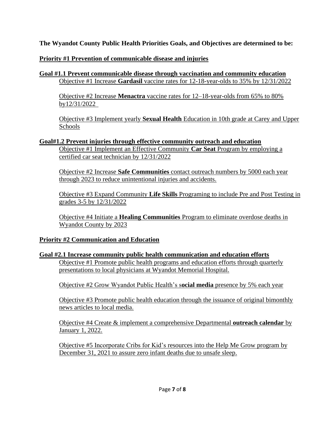**The Wyandot County Public Health Priorities Goals, and Objectives are determined to be:**

## **Priority #1 Prevention of communicable disease and injuries**

## **Goal #1.1 Prevent communicable disease through vaccination and community education** Objective #1 Increase **Gardasil** vaccine rates for 12-18-year-olds to 35% by 12/31/2022

Objective #2 Increase **Menactra** vaccine rates for 12–18-year-olds from 65% to 80% by12/31/2022

Objective #3 Implement yearly **Sexual Health** Education in 10th grade at Carey and Upper Schools

## **Goal#1.2 Prevent injuries through effective community outreach and education**

Objective #1 Implement an Effective Community **Car Seat** Program by employing a certified car seat technician by 12/31/2022

Objective #2 Increase **Safe Communities** contact outreach numbers by 5000 each year through 2023 to reduce unintentional injuries and accidents.

Objective #3 Expand Community **Life Skills** Programing to include Pre and Post Testing in grades 3-5 by 12/31/2022

Objective #4 Initiate a **Healing Communities** Program to eliminate overdose deaths in Wyandot County by 2023

## **Priority #2 Communication and Education**

## **Goal #2.1 Increase community public health communication and education efforts**

Objective #1 Promote public health programs and education efforts through quarterly presentations to local physicians at Wyandot Memorial Hospital.

Objective #2 Grow Wyandot Public Health's s**ocial media** presence by 5% each year

Objective #3 Promote public health education through the issuance of original bimonthly news articles to local media.

Objective #4 Create & implement a comprehensive Departmental **outreach calendar** by January 1, 2022.

Objective #5 Incorporate Cribs for Kid's resources into the Help Me Grow program by December 31, 2021 to assure zero infant deaths due to unsafe sleep.